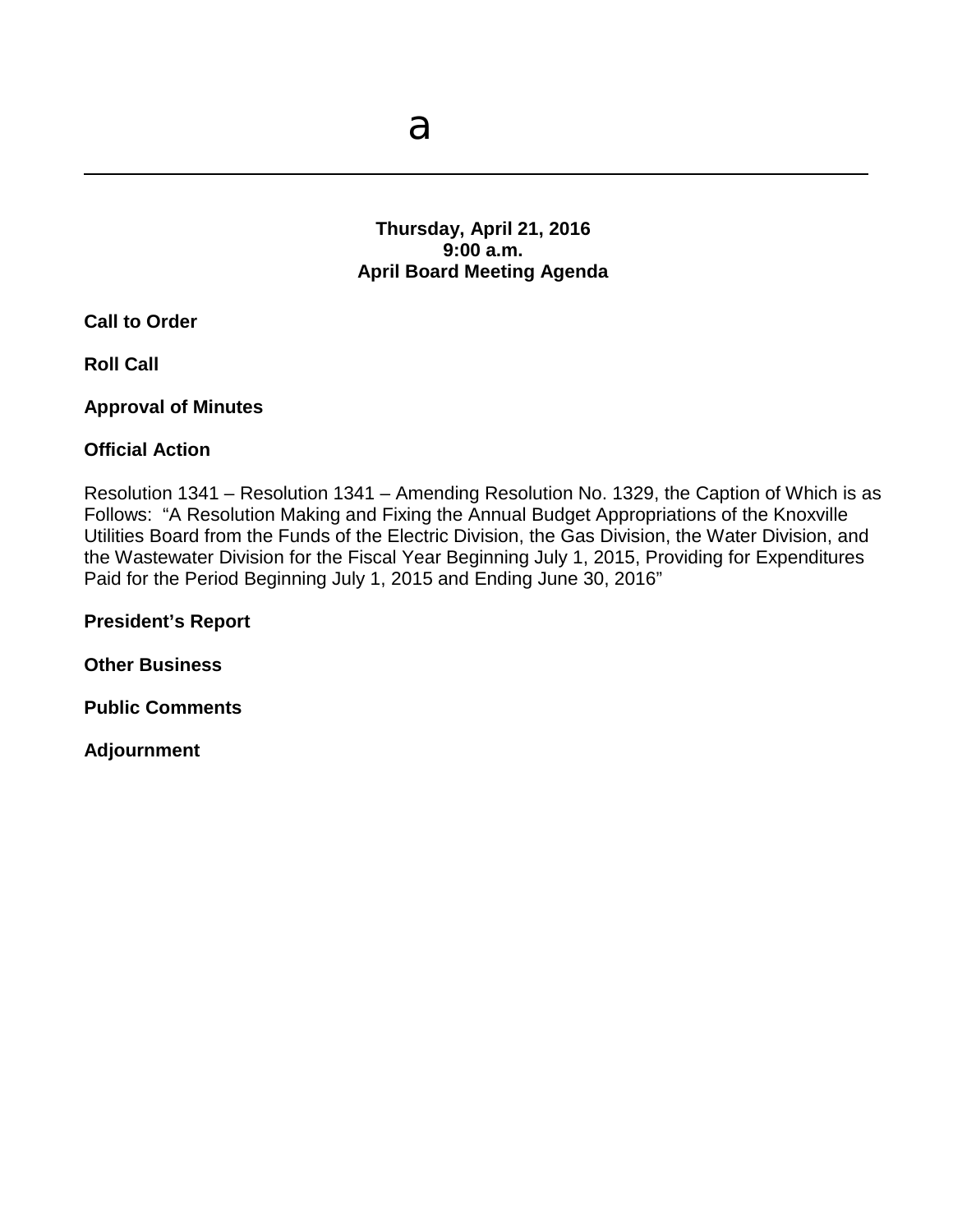# **Thursday, April 21, 2016 9:00 a.m. April Board Meeting Agenda**

**Call to Order**

**Roll Call**

**Approval of Minutes**

#### **Official Action**

Resolution 1341 – Resolution 1341 – Amending Resolution No. 1329, the Caption of Which is as Follows: "A Resolution Making and Fixing the Annual Budget Appropriations of the Knoxville Utilities Board from the Funds of the Electric Division, the Gas Division, the Water Division, and the Wastewater Division for the Fiscal Year Beginning July 1, 2015, Providing for Expenditures Paid for the Period Beginning July 1, 2015 and Ending June 30, 2016"

**President's Report**

**Other Business** 

**Public Comments** 

**Adjournment**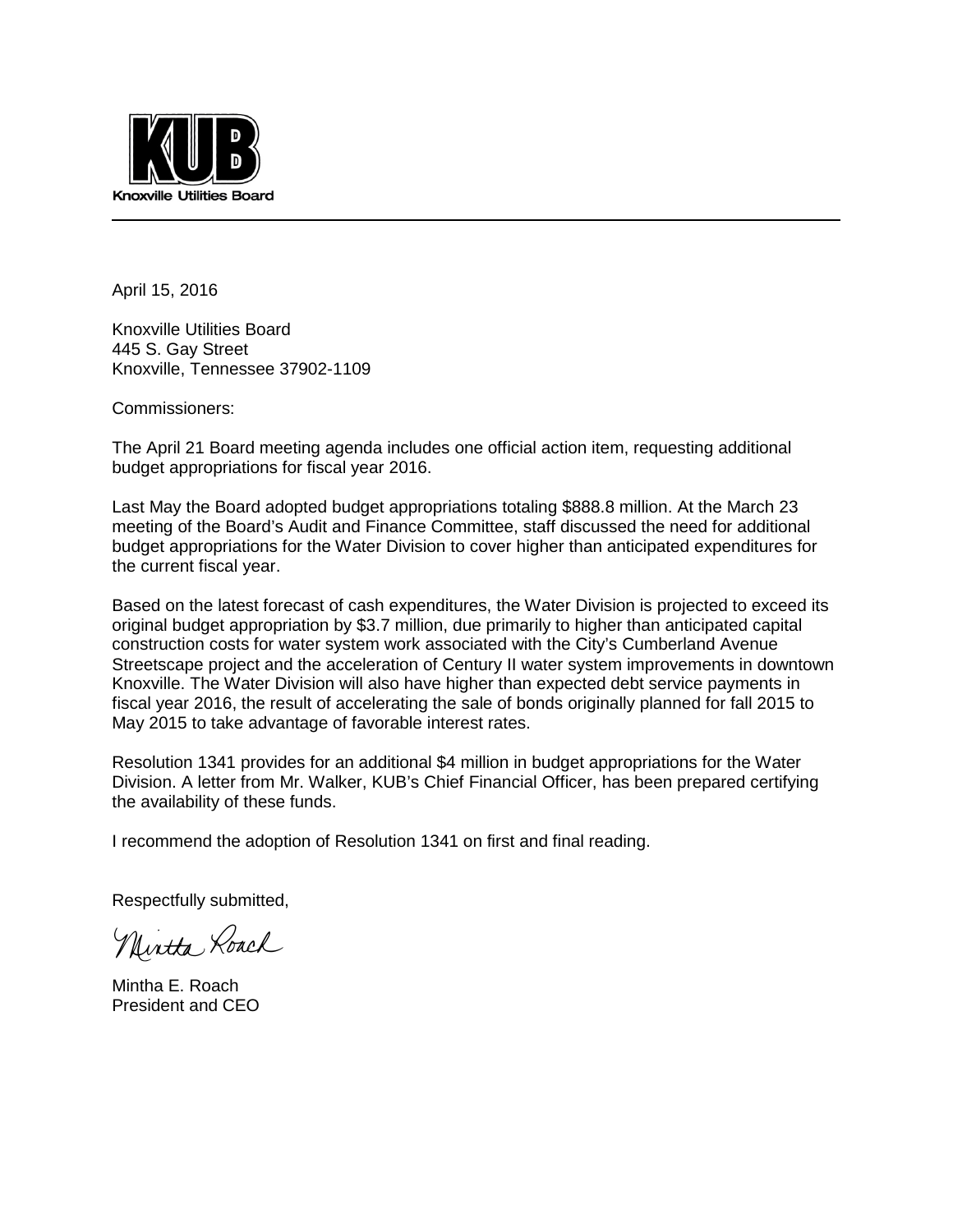

April 15, 2016

Knoxville Utilities Board 445 S. Gay Street Knoxville, Tennessee 37902-1109

Commissioners:

The April 21 Board meeting agenda includes one official action item, requesting additional budget appropriations for fiscal year 2016.

Last May the Board adopted budget appropriations totaling \$888.8 million. At the March 23 meeting of the Board's Audit and Finance Committee, staff discussed the need for additional budget appropriations for the Water Division to cover higher than anticipated expenditures for the current fiscal year.

Based on the latest forecast of cash expenditures, the Water Division is projected to exceed its original budget appropriation by \$3.7 million, due primarily to higher than anticipated capital construction costs for water system work associated with the City's Cumberland Avenue Streetscape project and the acceleration of Century II water system improvements in downtown Knoxville. The Water Division will also have higher than expected debt service payments in fiscal year 2016, the result of accelerating the sale of bonds originally planned for fall 2015 to May 2015 to take advantage of favorable interest rates.

Resolution 1341 provides for an additional \$4 million in budget appropriations for the Water Division. A letter from Mr. Walker, KUB's Chief Financial Officer, has been prepared certifying the availability of these funds.

I recommend the adoption of Resolution 1341 on first and final reading.

Respectfully submitted,

Nintha Roach

Mintha E. Roach President and CEO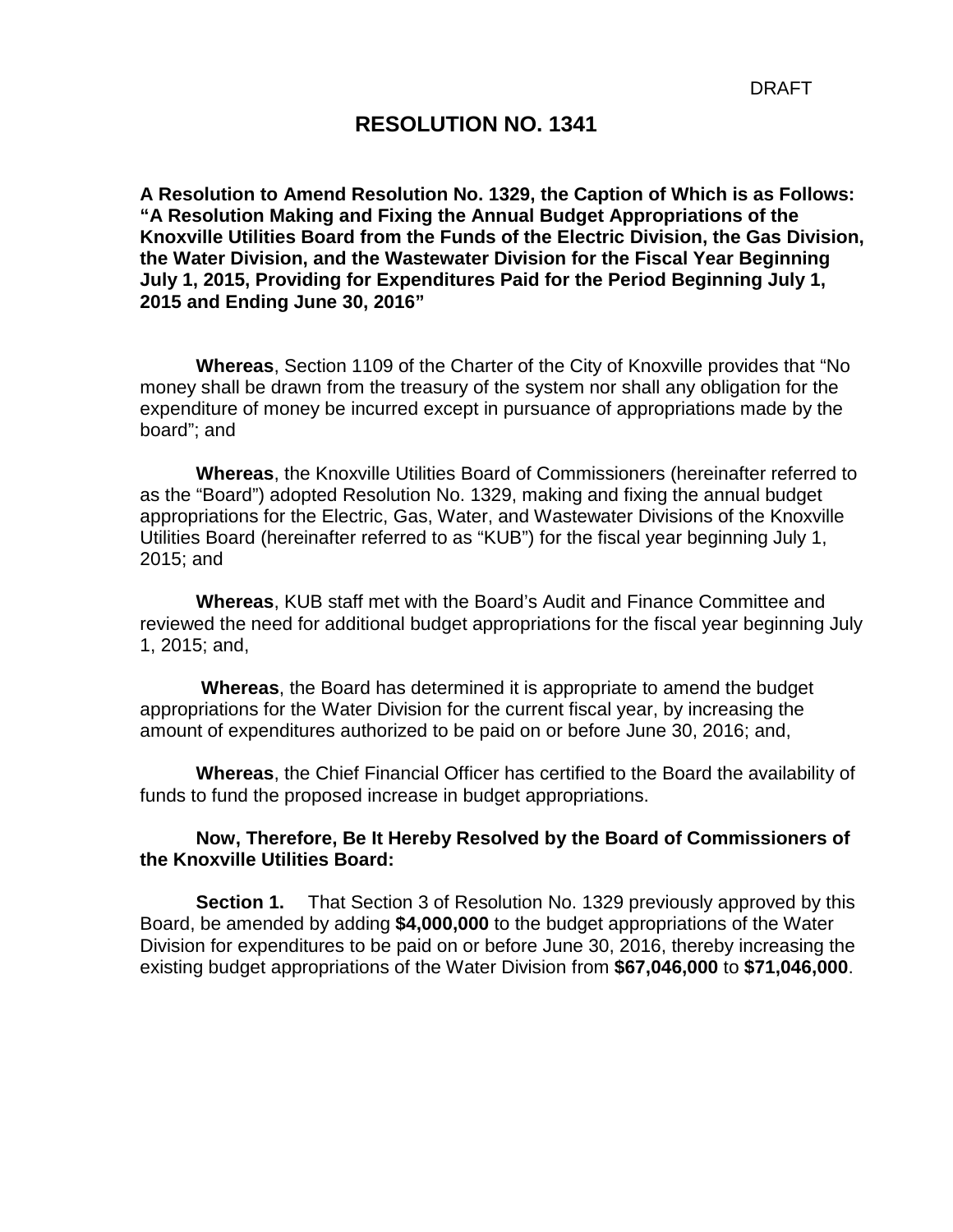#### **RESOLUTION NO. 1341**

**A Resolution to Amend Resolution No. 1329, the Caption of Which is as Follows: "A Resolution Making and Fixing the Annual Budget Appropriations of the Knoxville Utilities Board from the Funds of the Electric Division, the Gas Division, the Water Division, and the Wastewater Division for the Fiscal Year Beginning July 1, 2015, Providing for Expenditures Paid for the Period Beginning July 1, 2015 and Ending June 30, 2016"** 

**Whereas**, Section 1109 of the Charter of the City of Knoxville provides that "No money shall be drawn from the treasury of the system nor shall any obligation for the expenditure of money be incurred except in pursuance of appropriations made by the board"; and

**Whereas**, the Knoxville Utilities Board of Commissioners (hereinafter referred to as the "Board") adopted Resolution No. 1329, making and fixing the annual budget appropriations for the Electric, Gas, Water, and Wastewater Divisions of the Knoxville Utilities Board (hereinafter referred to as "KUB") for the fiscal year beginning July 1, 2015; and

**Whereas**, KUB staff met with the Board's Audit and Finance Committee and reviewed the need for additional budget appropriations for the fiscal year beginning July 1, 2015; and,

**Whereas**, the Board has determined it is appropriate to amend the budget appropriations for the Water Division for the current fiscal year, by increasing the amount of expenditures authorized to be paid on or before June 30, 2016; and,

**Whereas**, the Chief Financial Officer has certified to the Board the availability of funds to fund the proposed increase in budget appropriations.

#### **Now, Therefore, Be It Hereby Resolved by the Board of Commissioners of the Knoxville Utilities Board:**

**Section 1.** That Section 3 of Resolution No. 1329 previously approved by this Board, be amended by adding **\$4,000,000** to the budget appropriations of the Water Division for expenditures to be paid on or before June 30, 2016, thereby increasing the existing budget appropriations of the Water Division from **\$67,046,000** to **\$71,046,000**.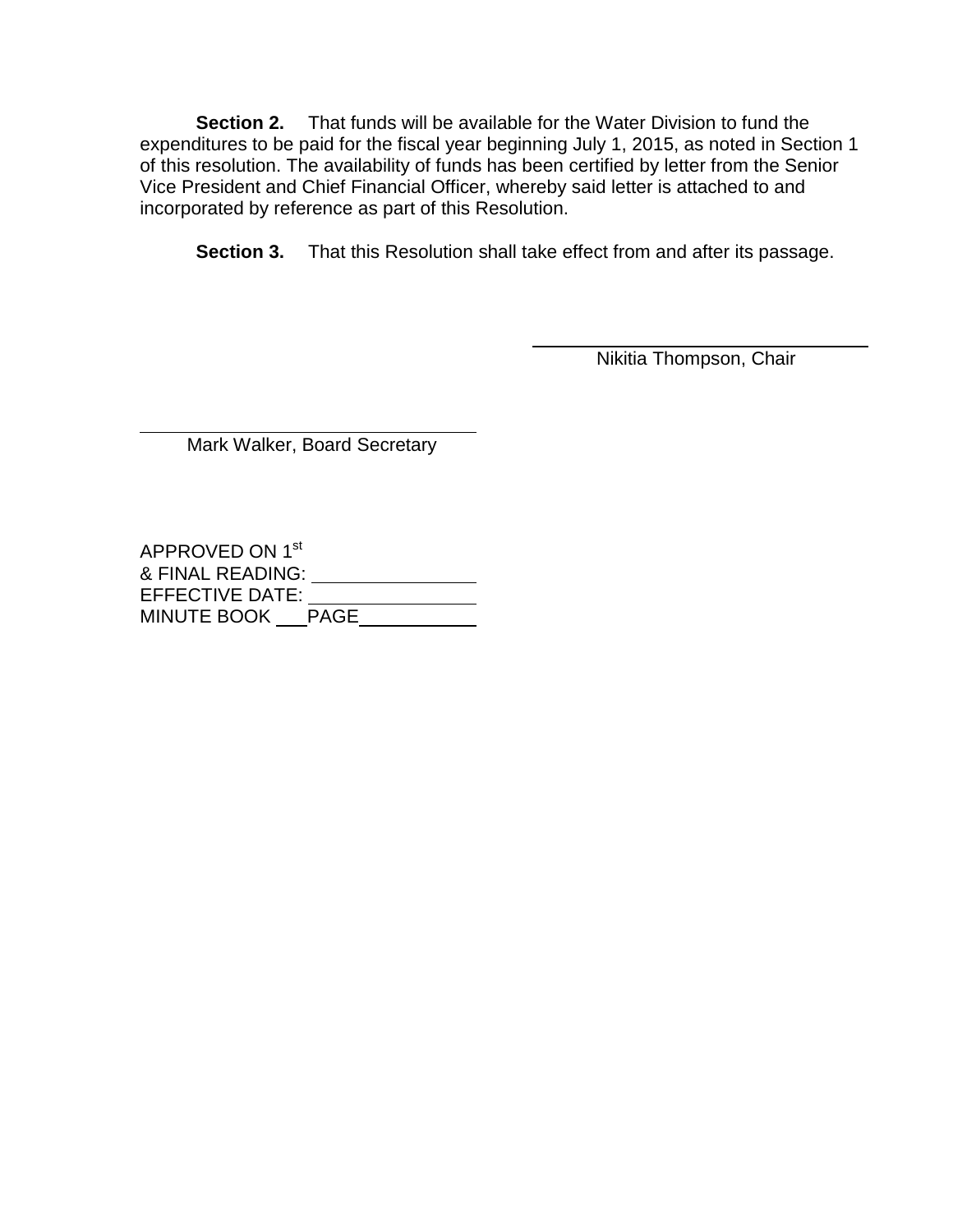**Section 2.** That funds will be available for the Water Division to fund the expenditures to be paid for the fiscal year beginning July 1, 2015, as noted in Section 1 of this resolution. The availability of funds has been certified by letter from the Senior Vice President and Chief Financial Officer, whereby said letter is attached to and incorporated by reference as part of this Resolution.

**Section 3.** That this Resolution shall take effect from and after its passage.

 $\overline{a}$ 

Nikitia Thompson, Chair

 $\overline{a}$ Mark Walker, Board Secretary

APPROVED ON 1st & FINAL READING: EFFECTIVE DATE: MINUTE BOOK \_\_\_\_PAGE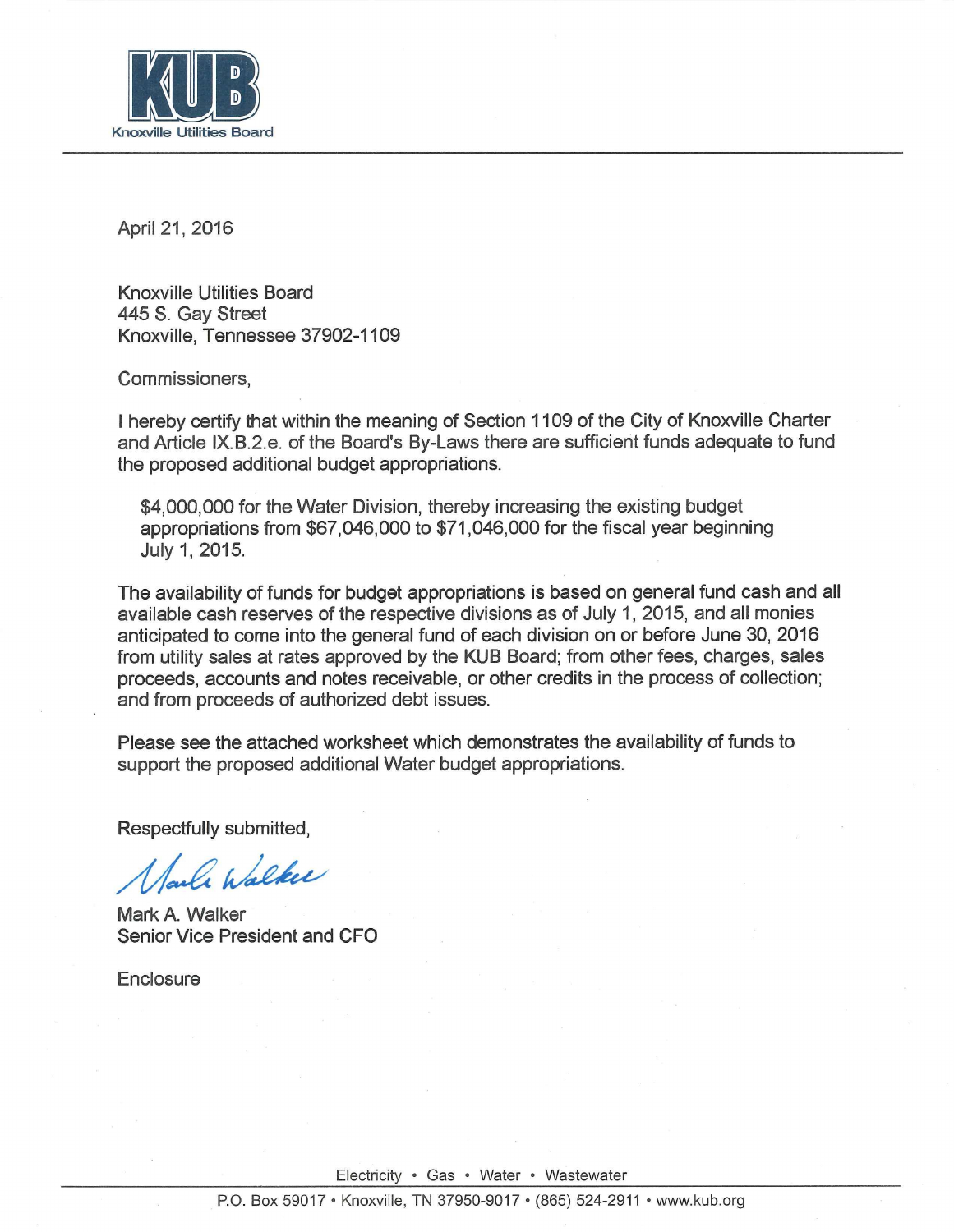

April 21, 2016

**Knoxville Utilities Board** 445 S. Gay Street Knoxville. Tennessee 37902-1109

Commissioners,

I hereby certify that within the meaning of Section 1109 of the City of Knoxville Charter and Article IX.B.2.e. of the Board's By-Laws there are sufficient funds adequate to fund the proposed additional budget appropriations.

\$4,000,000 for the Water Division, thereby increasing the existing budget appropriations from \$67,046,000 to \$71,046,000 for the fiscal year beginning July 1, 2015.

The availability of funds for budget appropriations is based on general fund cash and all available cash reserves of the respective divisions as of July 1, 2015, and all monies anticipated to come into the general fund of each division on or before June 30, 2016 from utility sales at rates approved by the KUB Board; from other fees, charges, sales proceeds, accounts and notes receivable, or other credits in the process of collection; and from proceeds of authorized debt issues.

Please see the attached worksheet which demonstrates the availability of funds to support the proposed additional Water budget appropriations.

Respectfully submitted.

le Walker

Mark A. Walker Senior Vice President and CFO

Enclosure

Electricity · Gas · Water · Wastewater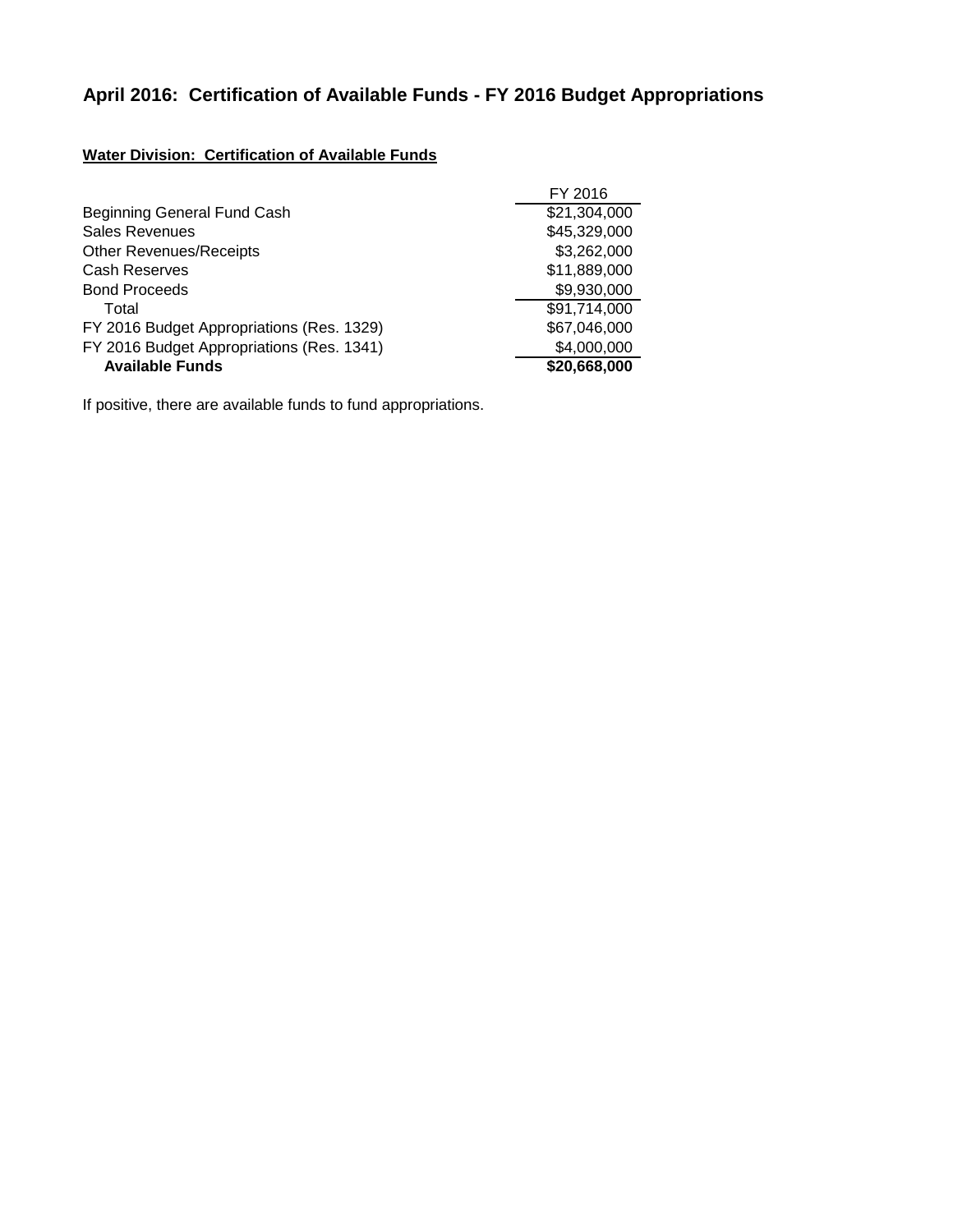# **April 2016: Certification of Available Funds - FY 2016 Budget Appropriations**

#### **Water Division: Certification of Available Funds**

|                                           | FY 2016      |
|-------------------------------------------|--------------|
| Beginning General Fund Cash               | \$21,304,000 |
| <b>Sales Revenues</b>                     | \$45,329,000 |
| <b>Other Revenues/Receipts</b>            | \$3,262,000  |
| <b>Cash Reserves</b>                      | \$11,889,000 |
| <b>Bond Proceeds</b>                      | \$9,930,000  |
| Total                                     | \$91,714,000 |
| FY 2016 Budget Appropriations (Res. 1329) | \$67,046,000 |
| FY 2016 Budget Appropriations (Res. 1341) | \$4,000,000  |
| <b>Available Funds</b>                    | \$20,668,000 |

If positive, there are available funds to fund appropriations.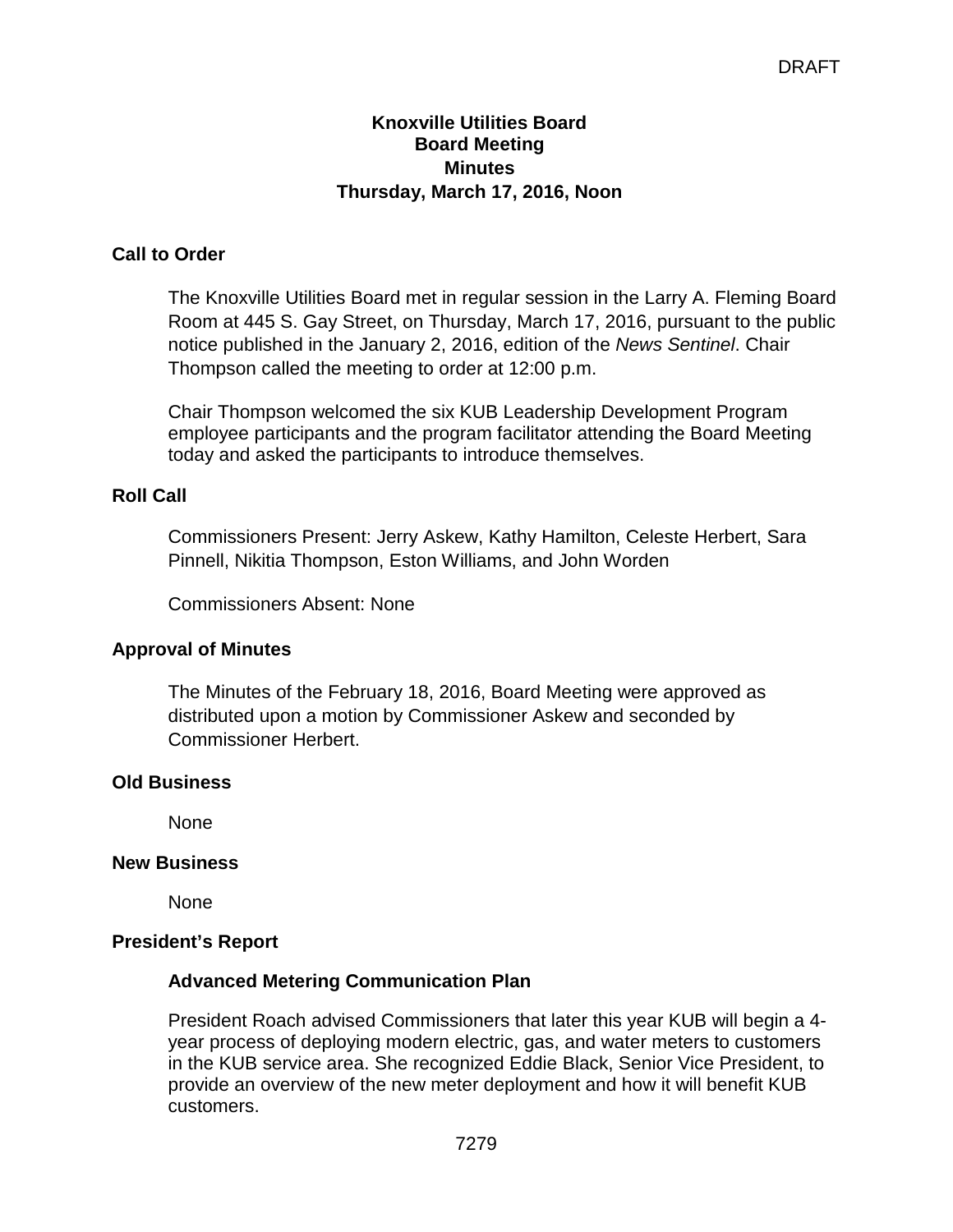#### **Knoxville Utilities Board Board Meeting Minutes Thursday, March 17, 2016, Noon**

# **Call to Order**

The Knoxville Utilities Board met in regular session in the Larry A. Fleming Board Room at 445 S. Gay Street, on Thursday, March 17, 2016, pursuant to the public notice published in the January 2, 2016, edition of the *News Sentinel*. Chair Thompson called the meeting to order at 12:00 p.m.

Chair Thompson welcomed the six KUB Leadership Development Program employee participants and the program facilitator attending the Board Meeting today and asked the participants to introduce themselves.

# **Roll Call**

Commissioners Present: Jerry Askew, Kathy Hamilton, Celeste Herbert, Sara Pinnell, Nikitia Thompson, Eston Williams, and John Worden

Commissioners Absent: None

#### **Approval of Minutes**

The Minutes of the February 18, 2016, Board Meeting were approved as distributed upon a motion by Commissioner Askew and seconded by Commissioner Herbert.

#### **Old Business**

None

#### **New Business**

None

#### **President's Report**

#### **Advanced Metering Communication Plan**

President Roach advised Commissioners that later this year KUB will begin a 4 year process of deploying modern electric, gas, and water meters to customers in the KUB service area. She recognized Eddie Black, Senior Vice President, to provide an overview of the new meter deployment and how it will benefit KUB customers.